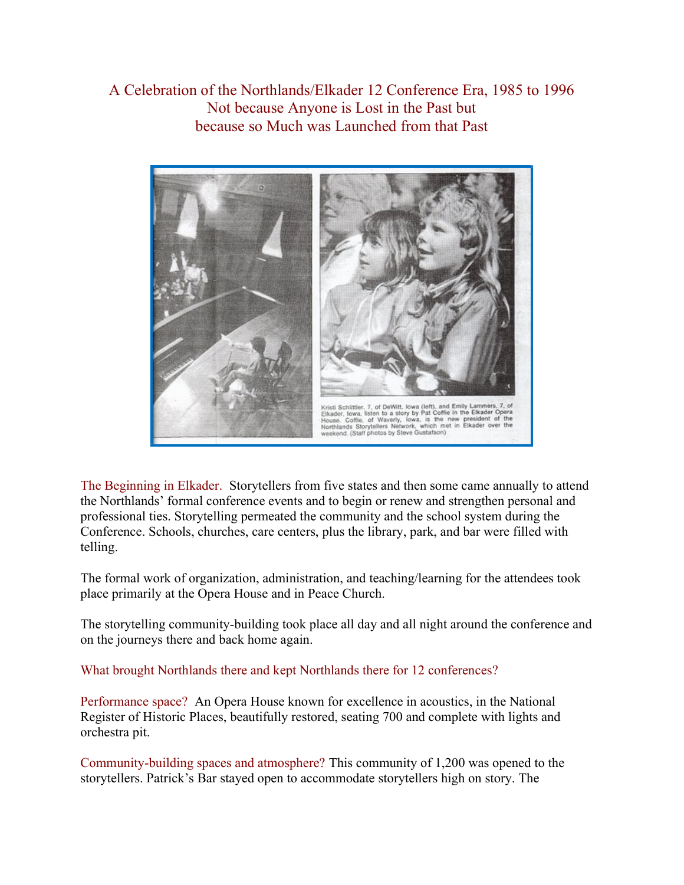## A Celebration of the Northlands/Elkader 12 Conference Era, 1985 to 1996 Not because Anyone is Lost in the Past but because so Much was Launched from that Past



The Beginning in Elkader. Storytellers from five states and then some came annually to attend the Northlands' formal conference events and to begin or renew and strengthen personal and professional ties. Storytelling permeated the community and the school system during the Conference. Schools, churches, care centers, plus the library, park, and bar were filled with telling.

The formal work of organization, administration, and teaching/learning for the attendees took place primarily at the Opera House and in Peace Church.

The storytelling community-building took place all day and all night around the conference and on the journeys there and back home again.

What brought Northlands there and kept Northlands there for 12 conferences?

Performance space? An Opera House known for excellence in acoustics, in the National Register of Historic Places, beautifully restored, seating 700 and complete with lights and orchestra pit.

Community-building spaces and atmosphere? This community of 1,200 was opened to the storytellers. Patrick's Bar stayed open to accommodate storytellers high on story. The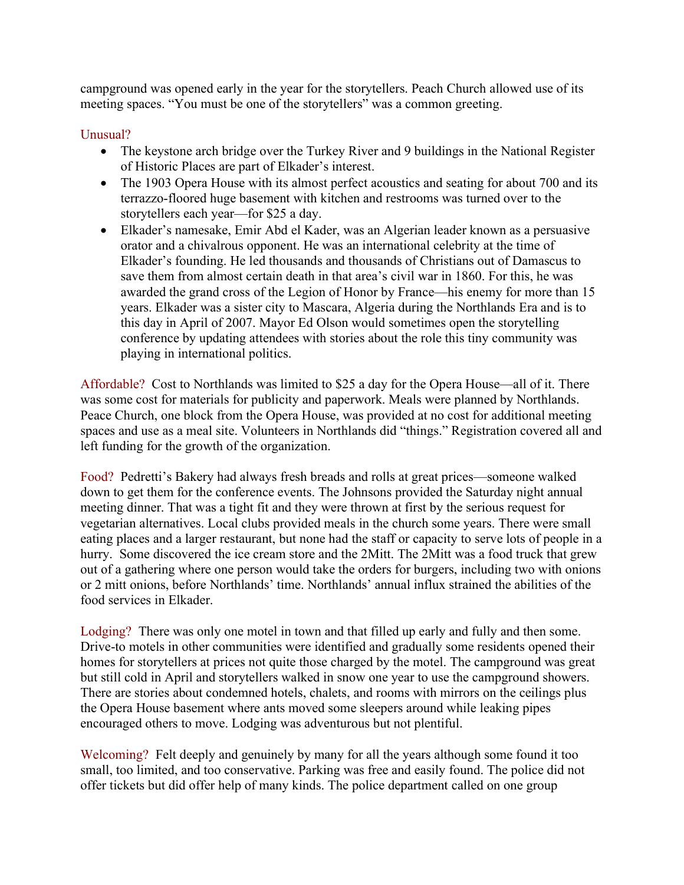campground was opened early in the year for the storytellers. Peach Church allowed use of its meeting spaces. "You must be one of the storytellers" was a common greeting.

## Unusual?

- The keystone arch bridge over the Turkey River and 9 buildings in the National Register of Historic Places are part of Elkader's interest.
- The 1903 Opera House with its almost perfect acoustics and seating for about 700 and its terrazzo-floored huge basement with kitchen and restrooms was turned over to the storytellers each year—for \$25 a day.
- Elkader's namesake, Emir Abd el Kader, was an Algerian leader known as a persuasive orator and a chivalrous opponent. He was an international celebrity at the time of Elkader's founding. He led thousands and thousands of Christians out of Damascus to save them from almost certain death in that area's civil war in 1860. For this, he was awarded the grand cross of the Legion of Honor by France—his enemy for more than 15 years. Elkader was a sister city to Mascara, Algeria during the Northlands Era and is to this day in April of 2007. Mayor Ed Olson would sometimes open the storytelling conference by updating attendees with stories about the role this tiny community was playing in international politics.

Affordable? Cost to Northlands was limited to \$25 a day for the Opera House—all of it. There was some cost for materials for publicity and paperwork. Meals were planned by Northlands. Peace Church, one block from the Opera House, was provided at no cost for additional meeting spaces and use as a meal site. Volunteers in Northlands did "things." Registration covered all and left funding for the growth of the organization.

Food? Pedretti's Bakery had always fresh breads and rolls at great prices—someone walked down to get them for the conference events. The Johnsons provided the Saturday night annual meeting dinner. That was a tight fit and they were thrown at first by the serious request for vegetarian alternatives. Local clubs provided meals in the church some years. There were small eating places and a larger restaurant, but none had the staff or capacity to serve lots of people in a hurry. Some discovered the ice cream store and the 2Mitt. The 2Mitt was a food truck that grew out of a gathering where one person would take the orders for burgers, including two with onions or 2 mitt onions, before Northlands' time. Northlands' annual influx strained the abilities of the food services in Elkader.

Lodging? There was only one motel in town and that filled up early and fully and then some. Drive-to motels in other communities were identified and gradually some residents opened their homes for storytellers at prices not quite those charged by the motel. The campground was great but still cold in April and storytellers walked in snow one year to use the campground showers. There are stories about condemned hotels, chalets, and rooms with mirrors on the ceilings plus the Opera House basement where ants moved some sleepers around while leaking pipes encouraged others to move. Lodging was adventurous but not plentiful.

Welcoming? Felt deeply and genuinely by many for all the years although some found it too small, too limited, and too conservative. Parking was free and easily found. The police did not offer tickets but did offer help of many kinds. The police department called on one group